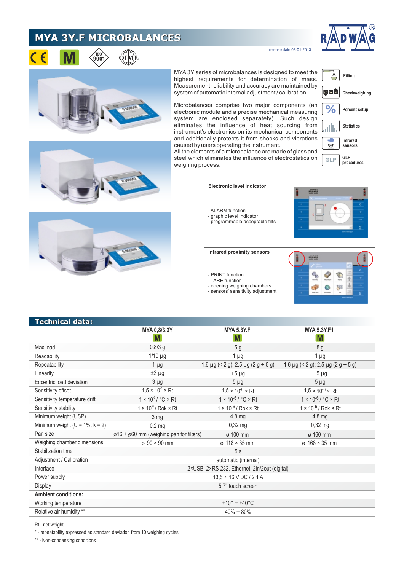## **MYA 3Y.F MICROBALANCES**





release date 08-01-2013





MYA3Y series of microbalances is designed to meet the highest requirements for determination of mass. Measurement reliability and accuracy are maintained by system of automatic internal adjustment / calibration.

**Filling** Ö LO OK HI **Checkweighing**  $%$ **Percent setup**

Microbalances comprise two major components (an electronic module and a precise mechanical measuring system are enclosed separately). Such design eliminates the influence of heat sourcing from instrument's electronics on its mechanical components and additionally protects it from shocks and vibrations caused by users operating the instrument.



All the elements of a microbalance are made of glass and steel which eliminates the influence of electrostatics on weighing process.



| <b>Technical data:</b>                 |                                                           | <b>MYA 5.3Y.F</b>                            | <b>MYA 5.3Y.F1</b>                           |
|----------------------------------------|-----------------------------------------------------------|----------------------------------------------|----------------------------------------------|
|                                        | MYA 0,8/3.3Y<br>M                                         | M                                            | M                                            |
| Max load                               | $0,8/3$ g                                                 | 5 <sub>g</sub>                               | 5 <sub>g</sub>                               |
| Readability                            | $1/10$ µg                                                 | $1 \mu g$                                    | $1 \mu g$                                    |
| Repeatability                          | $1 \mu$ g                                                 | 1,6 $\mu$ g (< 2 g); 2,5 $\mu$ g (2 g ÷ 5 g) | 1,6 $\mu$ g (< 2 g); 2,5 $\mu$ g (2 g ÷ 5 g) |
| Linearity                              | $±3 \mu g$                                                | $±5 \mu g$                                   | $±5 \mu g$                                   |
| Eccentric load deviation               | $3 \mu g$                                                 | $5 \mu g$                                    | $5 \mu g$                                    |
| Sensitivity offset                     | $1,5 \times 10^{6} \times Rt$                             | $1,5 \times 10^{-6} \times Rt$               | $1,5 \times 10^{-6} \times Rt$               |
| Sensitivity temperature drift          | $1 \times 10^{-6}$ / °C $\times$ Rt                       | $1 \times 10^{-6} / °C \times Rt$            | $1 \times 10^{-6} / °C \times Rt$            |
| Sensitivity stability                  | $1 \times 10^{-6}$ / Rok $\times$ Rt                      | $1 \times 10^{-6}$ / Rok $\times$ Rt         | $1 \times 10^{-6}$ / Rok $\times$ Rt         |
| Minimum weight (USP)                   | 3 <sub>mg</sub>                                           | $4,8$ mg                                     | $4,8$ mg                                     |
| Minimum weight ( $U = 1\%$ , $k = 2$ ) | $0,2$ mg                                                  | $0,32$ mg                                    | $0,32$ mg                                    |
| Pan size                               | $\varphi$ 16 + $\varphi$ 60 mm (weighing pan for filters) | ø 100 mm                                     | ø 160 mm                                     |
| Weighing chamber dimensions            | $\sigma$ 90 × 90 mm                                       | $\varphi$ 118 × 35 mm                        | $\sigma$ 168 × 35 mm                         |
| Stabilization time                     | 5s                                                        |                                              |                                              |
| Adjustment / Calibration               | automatic (internal)                                      |                                              |                                              |
| Interface                              | 2×USB, 2×RS 232, Ethernet, 2in/2out (digital)             |                                              |                                              |
| Power supply                           | $13.5 \div 16$ V DC / 2.1 A                               |                                              |                                              |
| Display                                | 5,7" touch screen                                         |                                              |                                              |
| <b>Ambient conditions:</b>             |                                                           |                                              |                                              |
| Working temperature                    | $+10^{\circ} \div +40^{\circ}$ C                          |                                              |                                              |
| Relative air humidity **               | $40\% \div 80\%$                                          |                                              |                                              |

Rt - net weight

\* - repeatability expressed as standard deviation from 10 weighing cycles

\*\* - Non-condensing conditions